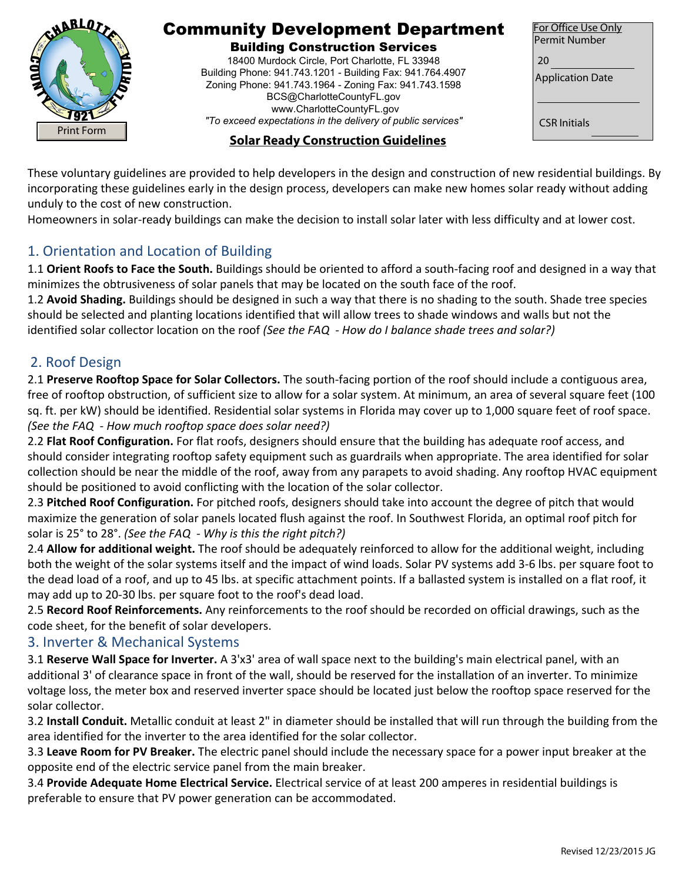

# Community Development Department

#### Building Construction Services

18400 Murdock Circle, Port Charlotte, FL 33948 Building Phone: 941.743.1201 - Building Fax: 941.764.4907 Zoning Phone: 941.743.1964 - Zoning Fax: 941.743.1598 BCS@CharlotteCountyFL.gov www.CharlotteCountyFL.gov *"To exceed expectations in the delivery of public services"* 

| For Office Use Only<br><b>Permit Number</b> |
|---------------------------------------------|
| 20<br><b>Application Date</b>               |
| <b>CSR</b> Initials                         |

## **Solar Ready Construction Guidelines**

These voluntary guidelines are provided to help developers in the design and construction of new residential buildings. By incorporating these guidelines early in the design process, developers can make new homes solar ready without adding unduly to the cost of new construction.

Homeowners in solar-ready buildings can make the decision to install solar later with less difficulty and at lower cost.

## 1. Orientation and Location of Building

1.1 **Orient Roofs to Face the South.** Buildings should be oriented to afford a south-facing roof and designed in a way that minimizes the obtrusiveness of solar panels that may be located on the south face of the roof.

1.2 **Avoid Shading.** Buildings should be designed in such a way that there is no shading to the south. Shade tree species should be selected and planting locations identified that will allow trees to shade windows and walls but not the identified solar collector location on the roof *(See the FAQ - How do I balance shade trees and solar?)* 

## 2. Roof Design

2.1 **Preserve Rooftop Space for Solar Collectors.** The south-facing portion of the roof should include a contiguous area, free of rooftop obstruction, of sufficient size to allow for a solar system. At minimum, an area of several square feet (100 sq. ft. per kW) should be identified. Residential solar systems in Florida may cover up to 1,000 square feet of roof space. *(See the FAQ - How much rooftop space does solar need?)* 

2.2 **Flat Roof Configuration.** For flat roofs, designers should ensure that the building has adequate roof access, and should consider integrating rooftop safety equipment such as guardrails when appropriate. The area identified for solar collection should be near the middle of the roof, away from any parapets to avoid shading. Any rooftop HVAC equipment should be positioned to avoid conflicting with the location of the solar collector.

2.3 **Pitched Roof Configuration.** For pitched roofs, designers should take into account the degree of pitch that would maximize the generation of solar panels located flush against the roof. In Southwest Florida, an optimal roof pitch for solar is 25° to 28°. *(See the FAQ - Why is this the right pitch?)* 

2.4 **Allow for additional weight.** The roof should be adequately reinforced to allow for the additional weight, including both the weight of the solar systems itself and the impact of wind loads. Solar PV systems add 3-6 lbs. per square foot to the dead load of a roof, and up to 45 lbs. at specific attachment points. If a ballasted system is installed on a flat roof, it may add up to 20-30 lbs. per square foot to the roof's dead load.

2.5 **Record Roof Reinforcements.** Any reinforcements to the roof should be recorded on official drawings, such as the code sheet, for the benefit of solar developers.

### 3. Inverter & Mechanical Systems

3.1 **Reserve Wall Space for Inverter.** A 3'x3' area of wall space next to the building's main electrical panel, with an additional 3' of clearance space in front of the wall, should be reserved for the installation of an inverter. To minimize voltage loss, the meter box and reserved inverter space should be located just below the rooftop space reserved for the solar collector.

3.2 **Install Conduit.** Metallic conduit at least 2" in diameter should be installed that will run through the building from the area identified for the inverter to the area identified for the solar collector.

3.3 **Leave Room for PV Breaker.** The electric panel should include the necessary space for a power input breaker at the opposite end of the electric service panel from the main breaker.

3.4 **Provide Adequate Home Electrical Service.** Electrical service of at least 200 amperes in residential buildings is preferable to ensure that PV power generation can be accommodated.